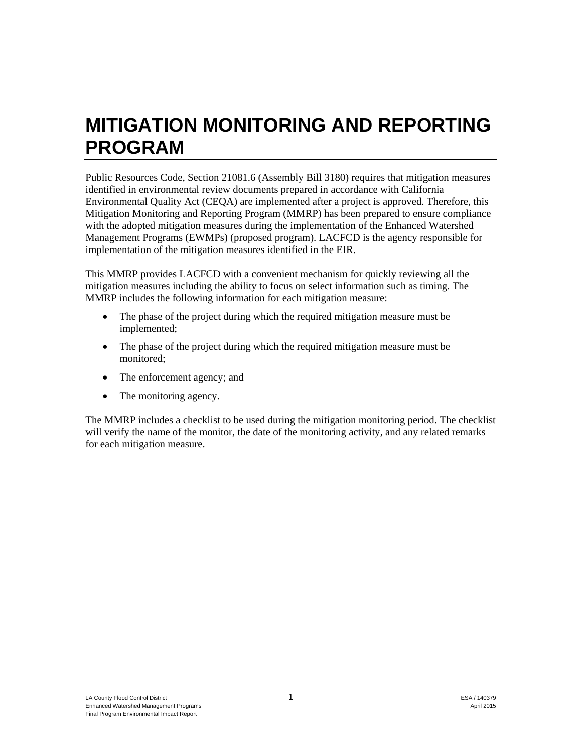## **MITIGATION MONITORING AND REPORTING PROGRAM**

Public Resources Code, Section 21081.6 (Assembly Bill 3180) requires that mitigation measures identified in environmental review documents prepared in accordance with California Environmental Quality Act (CEQA) are implemented after a project is approved. Therefore, this Mitigation Monitoring and Reporting Program (MMRP) has been prepared to ensure compliance with the adopted mitigation measures during the implementation of the Enhanced Watershed Management Programs (EWMPs) (proposed program). LACFCD is the agency responsible for implementation of the mitigation measures identified in the EIR.

This MMRP provides LACFCD with a convenient mechanism for quickly reviewing all the mitigation measures including the ability to focus on select information such as timing. The MMRP includes the following information for each mitigation measure:

- The phase of the project during which the required mitigation measure must be implemented;
- The phase of the project during which the required mitigation measure must be monitored;
- The enforcement agency; and
- The monitoring agency.

The MMRP includes a checklist to be used during the mitigation monitoring period. The checklist will verify the name of the monitor, the date of the monitoring activity, and any related remarks for each mitigation measure.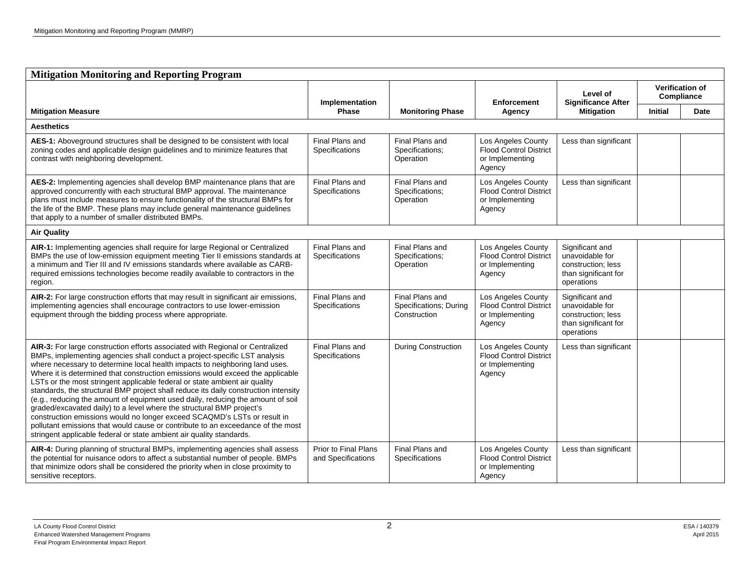| <b>Mitigation Monitoring and Reporting Program</b>                                                                                                                                                                                                                                                                                                                                                                                                                                                                                                                                                                                                                                                                                                                                                                                                                                                  |                                            |                                                           |                                                                                  |                                                                                                |                                      |      |  |  |
|-----------------------------------------------------------------------------------------------------------------------------------------------------------------------------------------------------------------------------------------------------------------------------------------------------------------------------------------------------------------------------------------------------------------------------------------------------------------------------------------------------------------------------------------------------------------------------------------------------------------------------------------------------------------------------------------------------------------------------------------------------------------------------------------------------------------------------------------------------------------------------------------------------|--------------------------------------------|-----------------------------------------------------------|----------------------------------------------------------------------------------|------------------------------------------------------------------------------------------------|--------------------------------------|------|--|--|
|                                                                                                                                                                                                                                                                                                                                                                                                                                                                                                                                                                                                                                                                                                                                                                                                                                                                                                     | Implementation                             |                                                           | <b>Enforcement</b>                                                               | Level of                                                                                       | <b>Verification of</b><br>Compliance |      |  |  |
| <b>Mitigation Measure</b>                                                                                                                                                                                                                                                                                                                                                                                                                                                                                                                                                                                                                                                                                                                                                                                                                                                                           | <b>Phase</b>                               | <b>Monitoring Phase</b>                                   | Agency                                                                           | <b>Significance After</b><br><b>Mitigation</b>                                                 | <b>Initial</b>                       | Date |  |  |
| <b>Aesthetics</b>                                                                                                                                                                                                                                                                                                                                                                                                                                                                                                                                                                                                                                                                                                                                                                                                                                                                                   |                                            |                                                           |                                                                                  |                                                                                                |                                      |      |  |  |
| AES-1: Aboveground structures shall be designed to be consistent with local<br>zoning codes and applicable design guidelines and to minimize features that<br>contrast with neighboring development.                                                                                                                                                                                                                                                                                                                                                                                                                                                                                                                                                                                                                                                                                                | Final Plans and<br>Specifications          | Final Plans and<br>Specifications;<br>Operation           | Los Angeles County<br><b>Flood Control District</b><br>or Implementing<br>Agency | Less than significant                                                                          |                                      |      |  |  |
| AES-2: Implementing agencies shall develop BMP maintenance plans that are<br>approved concurrently with each structural BMP approval. The maintenance<br>plans must include measures to ensure functionality of the structural BMPs for<br>the life of the BMP. These plans may include general maintenance guidelines<br>that apply to a number of smaller distributed BMPs.                                                                                                                                                                                                                                                                                                                                                                                                                                                                                                                       | Final Plans and<br>Specifications          | Final Plans and<br>Specifications;<br>Operation           | Los Angeles County<br><b>Flood Control District</b><br>or Implementing<br>Agency | Less than significant                                                                          |                                      |      |  |  |
| <b>Air Quality</b>                                                                                                                                                                                                                                                                                                                                                                                                                                                                                                                                                                                                                                                                                                                                                                                                                                                                                  |                                            |                                                           |                                                                                  |                                                                                                |                                      |      |  |  |
| AIR-1: Implementing agencies shall require for large Regional or Centralized<br>BMPs the use of low-emission equipment meeting Tier II emissions standards at<br>a minimum and Tier III and IV emissions standards where available as CARB-<br>required emissions technologies become readily available to contractors in the<br>region.                                                                                                                                                                                                                                                                                                                                                                                                                                                                                                                                                            | Final Plans and<br>Specifications          | Final Plans and<br>Specifications;<br>Operation           | Los Angeles County<br><b>Flood Control District</b><br>or Implementing<br>Agency | Significant and<br>unavoidable for<br>construction; less<br>than significant for<br>operations |                                      |      |  |  |
| AIR-2: For large construction efforts that may result in significant air emissions,<br>implementing agencies shall encourage contractors to use lower-emission<br>equipment through the bidding process where appropriate.                                                                                                                                                                                                                                                                                                                                                                                                                                                                                                                                                                                                                                                                          | Final Plans and<br>Specifications          | Final Plans and<br>Specifications; During<br>Construction | Los Angeles County<br><b>Flood Control District</b><br>or Implementing<br>Agency | Significant and<br>unavoidable for<br>construction; less<br>than significant for<br>operations |                                      |      |  |  |
| AIR-3: For large construction efforts associated with Regional or Centralized<br>BMPs, implementing agencies shall conduct a project-specific LST analysis<br>where necessary to determine local health impacts to neighboring land uses.<br>Where it is determined that construction emissions would exceed the applicable<br>LSTs or the most stringent applicable federal or state ambient air quality<br>standards, the structural BMP project shall reduce its daily construction intensity<br>(e.g., reducing the amount of equipment used daily, reducing the amount of soil<br>graded/excavated daily) to a level where the structural BMP project's<br>construction emissions would no longer exceed SCAQMD's LSTs or result in<br>pollutant emissions that would cause or contribute to an exceedance of the most<br>stringent applicable federal or state ambient air quality standards. | Final Plans and<br>Specifications          | <b>During Construction</b>                                | Los Angeles County<br><b>Flood Control District</b><br>or Implementing<br>Agency | Less than significant                                                                          |                                      |      |  |  |
| AIR-4: During planning of structural BMPs, implementing agencies shall assess<br>the potential for nuisance odors to affect a substantial number of people. BMPs<br>that minimize odors shall be considered the priority when in close proximity to<br>sensitive receptors.                                                                                                                                                                                                                                                                                                                                                                                                                                                                                                                                                                                                                         | Prior to Final Plans<br>and Specifications | Final Plans and<br>Specifications                         | Los Angeles County<br><b>Flood Control District</b><br>or Implementing<br>Agency | Less than significant                                                                          |                                      |      |  |  |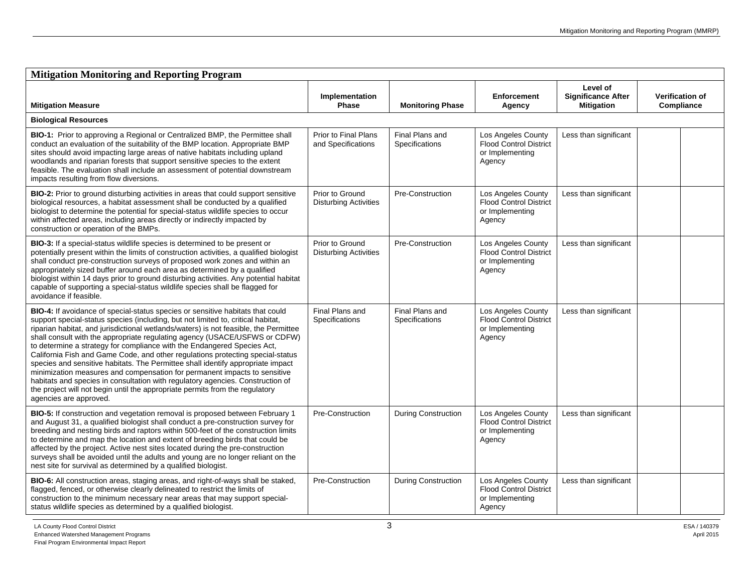| <b>Mitigation Monitoring and Reporting Program</b>                                                                                                                                                                                                                                                                                                                                                                                                                                                                                                                                                                                                                                                                                                                                                                                                                |                                                 |                                   |                                                                                  |                                                            |                                      |  |  |
|-------------------------------------------------------------------------------------------------------------------------------------------------------------------------------------------------------------------------------------------------------------------------------------------------------------------------------------------------------------------------------------------------------------------------------------------------------------------------------------------------------------------------------------------------------------------------------------------------------------------------------------------------------------------------------------------------------------------------------------------------------------------------------------------------------------------------------------------------------------------|-------------------------------------------------|-----------------------------------|----------------------------------------------------------------------------------|------------------------------------------------------------|--------------------------------------|--|--|
| <b>Mitigation Measure</b>                                                                                                                                                                                                                                                                                                                                                                                                                                                                                                                                                                                                                                                                                                                                                                                                                                         | Implementation<br>Phase                         | <b>Monitoring Phase</b>           | <b>Enforcement</b><br>Agency                                                     | Level of<br><b>Significance After</b><br><b>Mitigation</b> | <b>Verification of</b><br>Compliance |  |  |
| <b>Biological Resources</b>                                                                                                                                                                                                                                                                                                                                                                                                                                                                                                                                                                                                                                                                                                                                                                                                                                       |                                                 |                                   |                                                                                  |                                                            |                                      |  |  |
| BIO-1: Prior to approving a Regional or Centralized BMP, the Permittee shall<br>conduct an evaluation of the suitability of the BMP location. Appropriate BMP<br>sites should avoid impacting large areas of native habitats including upland<br>woodlands and riparian forests that support sensitive species to the extent<br>feasible. The evaluation shall include an assessment of potential downstream<br>impacts resulting from flow diversions.                                                                                                                                                                                                                                                                                                                                                                                                           | Prior to Final Plans<br>and Specifications      | Final Plans and<br>Specifications | Los Angeles County<br>Flood Control District<br>or Implementing<br>Agency        | Less than significant                                      |                                      |  |  |
| BIO-2: Prior to ground disturbing activities in areas that could support sensitive<br>biological resources, a habitat assessment shall be conducted by a qualified<br>biologist to determine the potential for special-status wildlife species to occur<br>within affected areas, including areas directly or indirectly impacted by<br>construction or operation of the BMPs.                                                                                                                                                                                                                                                                                                                                                                                                                                                                                    | Prior to Ground<br><b>Disturbing Activities</b> | Pre-Construction                  | Los Angeles County<br><b>Flood Control District</b><br>or Implementing<br>Agency | Less than significant                                      |                                      |  |  |
| BIO-3: If a special-status wildlife species is determined to be present or<br>potentially present within the limits of construction activities, a qualified biologist<br>shall conduct pre-construction surveys of proposed work zones and within an<br>appropriately sized buffer around each area as determined by a qualified<br>biologist within 14 days prior to ground disturbing activities. Any potential habitat<br>capable of supporting a special-status wildlife species shall be flagged for<br>avoidance if feasible.                                                                                                                                                                                                                                                                                                                               | Prior to Ground<br><b>Disturbing Activities</b> | Pre-Construction                  | Los Angeles County<br><b>Flood Control District</b><br>or Implementing<br>Agency | Less than significant                                      |                                      |  |  |
| BIO-4: If avoidance of special-status species or sensitive habitats that could<br>support special-status species (including, but not limited to, critical habitat,<br>riparian habitat, and jurisdictional wetlands/waters) is not feasible, the Permittee<br>shall consult with the appropriate regulating agency (USACE/USFWS or CDFW)<br>to determine a strategy for compliance with the Endangered Species Act,<br>California Fish and Game Code, and other regulations protecting special-status<br>species and sensitive habitats. The Permittee shall identify appropriate impact<br>minimization measures and compensation for permanent impacts to sensitive<br>habitats and species in consultation with regulatory agencies. Construction of<br>the project will not begin until the appropriate permits from the regulatory<br>agencies are approved. | Final Plans and<br>Specifications               | Final Plans and<br>Specifications | Los Angeles County<br><b>Flood Control District</b><br>or Implementing<br>Agency | Less than significant                                      |                                      |  |  |
| BIO-5: If construction and vegetation removal is proposed between February 1<br>and August 31, a qualified biologist shall conduct a pre-construction survey for<br>breeding and nesting birds and raptors within 500-feet of the construction limits<br>to determine and map the location and extent of breeding birds that could be<br>affected by the project. Active nest sites located during the pre-construction<br>surveys shall be avoided until the adults and young are no longer reliant on the<br>nest site for survival as determined by a qualified biologist.                                                                                                                                                                                                                                                                                     | Pre-Construction                                | During Construction               | Los Angeles County<br><b>Flood Control District</b><br>or Implementing<br>Agency | Less than significant                                      |                                      |  |  |
| BIO-6: All construction areas, staging areas, and right-of-ways shall be staked,<br>flagged, fenced, or otherwise clearly delineated to restrict the limits of<br>construction to the minimum necessary near areas that may support special-<br>status wildlife species as determined by a qualified biologist.                                                                                                                                                                                                                                                                                                                                                                                                                                                                                                                                                   | Pre-Construction                                | During Construction               | Los Angeles County<br><b>Flood Control District</b><br>or Implementing<br>Agency | Less than significant                                      |                                      |  |  |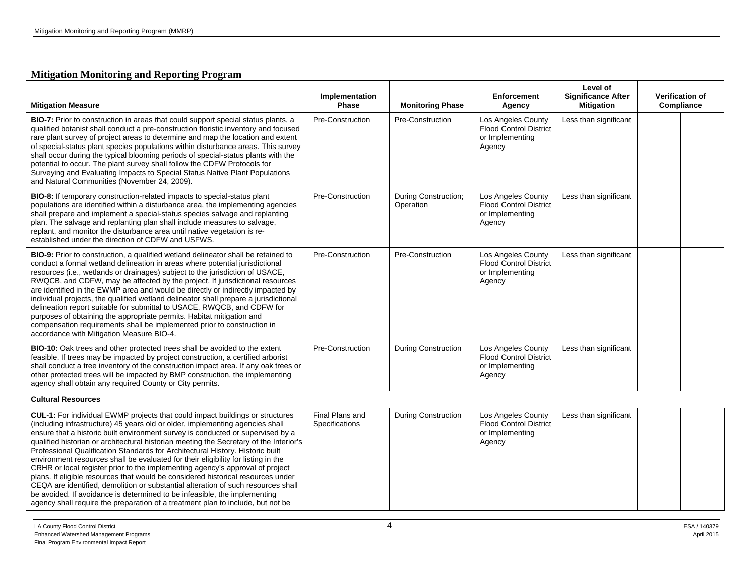| <b>Mitigation Monitoring and Reporting Program</b>                                                                                                                                                                                                                                                                                                                                                                                                                                                                                                                                                                                                                                                                                                                                                                                                                                                                                           |                                   |                                   |                                                                                  |                                                            |                                      |  |  |
|----------------------------------------------------------------------------------------------------------------------------------------------------------------------------------------------------------------------------------------------------------------------------------------------------------------------------------------------------------------------------------------------------------------------------------------------------------------------------------------------------------------------------------------------------------------------------------------------------------------------------------------------------------------------------------------------------------------------------------------------------------------------------------------------------------------------------------------------------------------------------------------------------------------------------------------------|-----------------------------------|-----------------------------------|----------------------------------------------------------------------------------|------------------------------------------------------------|--------------------------------------|--|--|
| <b>Mitigation Measure</b>                                                                                                                                                                                                                                                                                                                                                                                                                                                                                                                                                                                                                                                                                                                                                                                                                                                                                                                    | Implementation<br>Phase           | <b>Monitoring Phase</b>           | <b>Enforcement</b><br>Agency                                                     | Level of<br><b>Significance After</b><br><b>Mitigation</b> | <b>Verification of</b><br>Compliance |  |  |
| BIO-7: Prior to construction in areas that could support special status plants, a<br>qualified botanist shall conduct a pre-construction floristic inventory and focused<br>rare plant survey of project areas to determine and map the location and extent<br>of special-status plant species populations within disturbance areas. This survey<br>shall occur during the typical blooming periods of special-status plants with the<br>potential to occur. The plant survey shall follow the CDFW Protocols for<br>Surveying and Evaluating Impacts to Special Status Native Plant Populations<br>and Natural Communities (November 24, 2009).                                                                                                                                                                                                                                                                                             | Pre-Construction                  | Pre-Construction                  | Los Angeles County<br><b>Flood Control District</b><br>or Implementing<br>Agency | Less than significant                                      |                                      |  |  |
| BIO-8: If temporary construction-related impacts to special-status plant<br>populations are identified within a disturbance area, the implementing agencies<br>shall prepare and implement a special-status species salvage and replanting<br>plan. The salvage and replanting plan shall include measures to salvage,<br>replant, and monitor the disturbance area until native vegetation is re-<br>established under the direction of CDFW and USFWS.                                                                                                                                                                                                                                                                                                                                                                                                                                                                                     | Pre-Construction                  | During Construction;<br>Operation | Los Angeles County<br><b>Flood Control District</b><br>or Implementing<br>Agency | Less than significant                                      |                                      |  |  |
| <b>BIO-9:</b> Prior to construction, a qualified wetland delineator shall be retained to<br>conduct a formal wetland delineation in areas where potential jurisdictional<br>resources (i.e., wetlands or drainages) subject to the jurisdiction of USACE,<br>RWQCB, and CDFW, may be affected by the project. If jurisdictional resources<br>are identified in the EWMP area and would be directly or indirectly impacted by<br>individual projects, the qualified wetland delineator shall prepare a jurisdictional<br>delineation report suitable for submittal to USACE, RWQCB, and CDFW for<br>purposes of obtaining the appropriate permits. Habitat mitigation and<br>compensation requirements shall be implemented prior to construction in<br>accordance with Mitigation Measure BIO-4.                                                                                                                                             | Pre-Construction                  | Pre-Construction                  | Los Angeles County<br><b>Flood Control District</b><br>or Implementing<br>Agency | Less than significant                                      |                                      |  |  |
| <b>BIO-10:</b> Oak trees and other protected trees shall be avoided to the extent<br>feasible. If trees may be impacted by project construction, a certified arborist<br>shall conduct a tree inventory of the construction impact area. If any oak trees or<br>other protected trees will be impacted by BMP construction, the implementing<br>agency shall obtain any required County or City permits.                                                                                                                                                                                                                                                                                                                                                                                                                                                                                                                                     | Pre-Construction                  | <b>During Construction</b>        | Los Angeles County<br><b>Flood Control District</b><br>or Implementing<br>Agency | Less than significant                                      |                                      |  |  |
| <b>Cultural Resources</b>                                                                                                                                                                                                                                                                                                                                                                                                                                                                                                                                                                                                                                                                                                                                                                                                                                                                                                                    |                                   |                                   |                                                                                  |                                                            |                                      |  |  |
| CUL-1: For individual EWMP projects that could impact buildings or structures<br>(including infrastructure) 45 years old or older, implementing agencies shall<br>ensure that a historic built environment survey is conducted or supervised by a<br>qualified historian or architectural historian meeting the Secretary of the Interior's<br>Professional Qualification Standards for Architectural History. Historic built<br>environment resources shall be evaluated for their eligibility for listing in the<br>CRHR or local register prior to the implementing agency's approval of project<br>plans. If eligible resources that would be considered historical resources under<br>CEQA are identified, demolition or substantial alteration of such resources shall<br>be avoided. If avoidance is determined to be infeasible, the implementing<br>agency shall require the preparation of a treatment plan to include, but not be | Final Plans and<br>Specifications | <b>During Construction</b>        | Los Angeles County<br><b>Flood Control District</b><br>or Implementing<br>Agency | Less than significant                                      |                                      |  |  |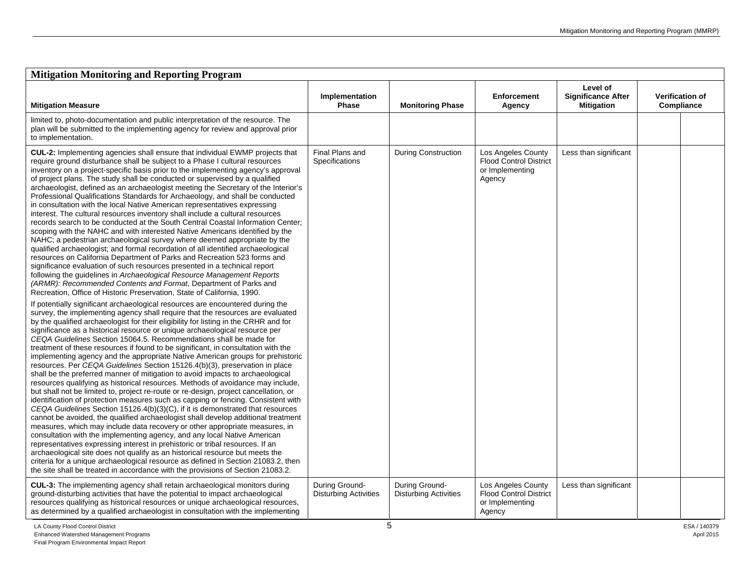| <b>Mitigation Monitoring and Reporting Program</b>                                                                                                                                                                                                                                                                                                                                                                                                                                                                                                                                                                                                                                                                                                                                                                                                                                                                                                                                                                                                                                                                                                                                                                                                                                                                                                                                                                                                                                                                                                                                                                                                                                                                                                                                                                                                                                                                                                                                                                                                                                                                                                                                                                                                                                                                                                                                                                                                                                                                                                                                                                                                                                                                                                                                                                                                                                                                    |                                                |                                                |                                                                                  |                                                            |                                      |  |  |
|-----------------------------------------------------------------------------------------------------------------------------------------------------------------------------------------------------------------------------------------------------------------------------------------------------------------------------------------------------------------------------------------------------------------------------------------------------------------------------------------------------------------------------------------------------------------------------------------------------------------------------------------------------------------------------------------------------------------------------------------------------------------------------------------------------------------------------------------------------------------------------------------------------------------------------------------------------------------------------------------------------------------------------------------------------------------------------------------------------------------------------------------------------------------------------------------------------------------------------------------------------------------------------------------------------------------------------------------------------------------------------------------------------------------------------------------------------------------------------------------------------------------------------------------------------------------------------------------------------------------------------------------------------------------------------------------------------------------------------------------------------------------------------------------------------------------------------------------------------------------------------------------------------------------------------------------------------------------------------------------------------------------------------------------------------------------------------------------------------------------------------------------------------------------------------------------------------------------------------------------------------------------------------------------------------------------------------------------------------------------------------------------------------------------------------------------------------------------------------------------------------------------------------------------------------------------------------------------------------------------------------------------------------------------------------------------------------------------------------------------------------------------------------------------------------------------------------------------------------------------------------------------------------------------------|------------------------------------------------|------------------------------------------------|----------------------------------------------------------------------------------|------------------------------------------------------------|--------------------------------------|--|--|
| <b>Mitigation Measure</b>                                                                                                                                                                                                                                                                                                                                                                                                                                                                                                                                                                                                                                                                                                                                                                                                                                                                                                                                                                                                                                                                                                                                                                                                                                                                                                                                                                                                                                                                                                                                                                                                                                                                                                                                                                                                                                                                                                                                                                                                                                                                                                                                                                                                                                                                                                                                                                                                                                                                                                                                                                                                                                                                                                                                                                                                                                                                                             | Implementation<br><b>Phase</b>                 | <b>Monitoring Phase</b>                        | <b>Enforcement</b><br>Agency                                                     | Level of<br><b>Significance After</b><br><b>Mitigation</b> | <b>Verification of</b><br>Compliance |  |  |
| limited to, photo-documentation and public interpretation of the resource. The<br>plan will be submitted to the implementing agency for review and approval prior<br>to implementation.                                                                                                                                                                                                                                                                                                                                                                                                                                                                                                                                                                                                                                                                                                                                                                                                                                                                                                                                                                                                                                                                                                                                                                                                                                                                                                                                                                                                                                                                                                                                                                                                                                                                                                                                                                                                                                                                                                                                                                                                                                                                                                                                                                                                                                                                                                                                                                                                                                                                                                                                                                                                                                                                                                                               |                                                |                                                |                                                                                  |                                                            |                                      |  |  |
| CUL-2: Implementing agencies shall ensure that individual EWMP projects that<br>require ground disturbance shall be subject to a Phase I cultural resources<br>inventory on a project-specific basis prior to the implementing agency's approval<br>of project plans. The study shall be conducted or supervised by a qualified<br>archaeologist, defined as an archaeologist meeting the Secretary of the Interior's<br>Professional Qualifications Standards for Archaeology, and shall be conducted<br>in consultation with the local Native American representatives expressing<br>interest. The cultural resources inventory shall include a cultural resources<br>records search to be conducted at the South Central Coastal Information Center;<br>scoping with the NAHC and with interested Native Americans identified by the<br>NAHC; a pedestrian archaeological survey where deemed appropriate by the<br>qualified archaeologist; and formal recordation of all identified archaeological<br>resources on California Department of Parks and Recreation 523 forms and<br>significance evaluation of such resources presented in a technical report<br>following the guidelines in Archaeological Resource Management Reports<br>(ARMR): Recommended Contents and Format, Department of Parks and<br>Recreation, Office of Historic Preservation, State of California, 1990.<br>If potentially significant archaeological resources are encountered during the<br>survey, the implementing agency shall require that the resources are evaluated<br>by the qualified archaeologist for their eligibility for listing in the CRHR and for<br>significance as a historical resource or unique archaeological resource per<br>CEQA Guidelines Section 15064.5. Recommendations shall be made for<br>treatment of these resources if found to be significant, in consultation with the<br>implementing agency and the appropriate Native American groups for prehistoric<br>resources. Per CEQA Guidelines Section 15126.4(b)(3), preservation in place<br>shall be the preferred manner of mitigation to avoid impacts to archaeological<br>resources qualifying as historical resources. Methods of avoidance may include,<br>but shall not be limited to, project re-route or re-design, project cancellation, or<br>identification of protection measures such as capping or fencing. Consistent with<br>CEQA Guidelines Section 15126.4(b)(3)(C), if it is demonstrated that resources<br>cannot be avoided, the qualified archaeologist shall develop additional treatment<br>measures, which may include data recovery or other appropriate measures, in<br>consultation with the implementing agency, and any local Native American<br>representatives expressing interest in prehistoric or tribal resources. If an<br>archaeological site does not qualify as an historical resource but meets the | Final Plans and<br>Specifications              | <b>During Construction</b>                     | Los Angeles County<br><b>Flood Control District</b><br>or Implementing<br>Agency | Less than significant                                      |                                      |  |  |
| criteria for a unique archaeological resource as defined in Section 21083.2, then<br>the site shall be treated in accordance with the provisions of Section 21083.2.                                                                                                                                                                                                                                                                                                                                                                                                                                                                                                                                                                                                                                                                                                                                                                                                                                                                                                                                                                                                                                                                                                                                                                                                                                                                                                                                                                                                                                                                                                                                                                                                                                                                                                                                                                                                                                                                                                                                                                                                                                                                                                                                                                                                                                                                                                                                                                                                                                                                                                                                                                                                                                                                                                                                                  |                                                |                                                |                                                                                  |                                                            |                                      |  |  |
| <b>CUL-3:</b> The implementing agency shall retain archaeological monitors during<br>ground-disturbing activities that have the potential to impact archaeological<br>resources qualifying as historical resources or unique archaeological resources,<br>as determined by a qualified archaeologist in consultation with the implementing                                                                                                                                                                                                                                                                                                                                                                                                                                                                                                                                                                                                                                                                                                                                                                                                                                                                                                                                                                                                                                                                                                                                                                                                                                                                                                                                                                                                                                                                                                                                                                                                                                                                                                                                                                                                                                                                                                                                                                                                                                                                                                                                                                                                                                                                                                                                                                                                                                                                                                                                                                            | During Ground-<br><b>Disturbing Activities</b> | During Ground-<br><b>Disturbing Activities</b> | Los Angeles County<br><b>Flood Control District</b><br>or Implementing<br>Agency | Less than significant                                      |                                      |  |  |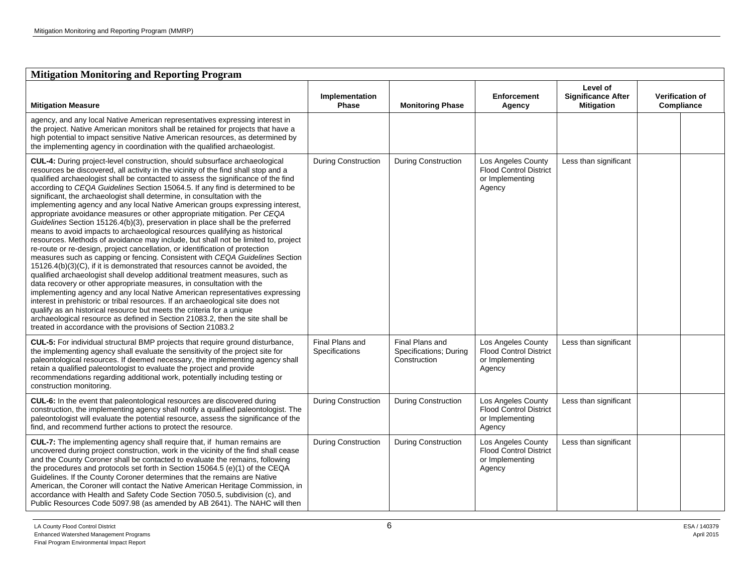| <b>Mitigation Monitoring and Reporting Program</b>                                                                                                                                                                                                                                                                                                                                                                                                                                                                                                                                                                                                                                                                                                                                                                                                                                                                                                                                                                                                                                                                                                                                                                                                                                                                                                                                                                                                                                                                                                                                                                                                  |                                   |                                                           |                                                                                  |                                                            |                                      |  |  |
|-----------------------------------------------------------------------------------------------------------------------------------------------------------------------------------------------------------------------------------------------------------------------------------------------------------------------------------------------------------------------------------------------------------------------------------------------------------------------------------------------------------------------------------------------------------------------------------------------------------------------------------------------------------------------------------------------------------------------------------------------------------------------------------------------------------------------------------------------------------------------------------------------------------------------------------------------------------------------------------------------------------------------------------------------------------------------------------------------------------------------------------------------------------------------------------------------------------------------------------------------------------------------------------------------------------------------------------------------------------------------------------------------------------------------------------------------------------------------------------------------------------------------------------------------------------------------------------------------------------------------------------------------------|-----------------------------------|-----------------------------------------------------------|----------------------------------------------------------------------------------|------------------------------------------------------------|--------------------------------------|--|--|
| <b>Mitigation Measure</b>                                                                                                                                                                                                                                                                                                                                                                                                                                                                                                                                                                                                                                                                                                                                                                                                                                                                                                                                                                                                                                                                                                                                                                                                                                                                                                                                                                                                                                                                                                                                                                                                                           | Implementation<br>Phase           | <b>Monitoring Phase</b>                                   | <b>Enforcement</b><br>Agency                                                     | Level of<br><b>Significance After</b><br><b>Mitigation</b> | <b>Verification of</b><br>Compliance |  |  |
| agency, and any local Native American representatives expressing interest in<br>the project. Native American monitors shall be retained for projects that have a<br>high potential to impact sensitive Native American resources, as determined by<br>the implementing agency in coordination with the qualified archaeologist.                                                                                                                                                                                                                                                                                                                                                                                                                                                                                                                                                                                                                                                                                                                                                                                                                                                                                                                                                                                                                                                                                                                                                                                                                                                                                                                     |                                   |                                                           |                                                                                  |                                                            |                                      |  |  |
| <b>CUL-4:</b> During project-level construction, should subsurface archaeological<br>resources be discovered, all activity in the vicinity of the find shall stop and a<br>qualified archaeologist shall be contacted to assess the significance of the find<br>according to CEQA Guidelines Section 15064.5. If any find is determined to be<br>significant, the archaeologist shall determine, in consultation with the<br>implementing agency and any local Native American groups expressing interest,<br>appropriate avoidance measures or other appropriate mitigation. Per CEQA<br>Guidelines Section 15126.4(b)(3), preservation in place shall be the preferred<br>means to avoid impacts to archaeological resources qualifying as historical<br>resources. Methods of avoidance may include, but shall not be limited to, project<br>re-route or re-design, project cancellation, or identification of protection<br>measures such as capping or fencing. Consistent with CEQA Guidelines Section<br>15126.4(b)(3)(C), if it is demonstrated that resources cannot be avoided, the<br>qualified archaeologist shall develop additional treatment measures, such as<br>data recovery or other appropriate measures, in consultation with the<br>implementing agency and any local Native American representatives expressing<br>interest in prehistoric or tribal resources. If an archaeological site does not<br>qualify as an historical resource but meets the criteria for a unique<br>archaeological resource as defined in Section 21083.2, then the site shall be<br>treated in accordance with the provisions of Section 21083.2 | <b>During Construction</b>        | <b>During Construction</b>                                | Los Angeles County<br><b>Flood Control District</b><br>or Implementing<br>Agency | Less than significant                                      |                                      |  |  |
| CUL-5: For individual structural BMP projects that require ground disturbance,<br>the implementing agency shall evaluate the sensitivity of the project site for<br>paleontological resources. If deemed necessary, the implementing agency shall<br>retain a qualified paleontologist to evaluate the project and provide<br>recommendations regarding additional work, potentially including testing or<br>construction monitoring.                                                                                                                                                                                                                                                                                                                                                                                                                                                                                                                                                                                                                                                                                                                                                                                                                                                                                                                                                                                                                                                                                                                                                                                                               | Final Plans and<br>Specifications | Final Plans and<br>Specifications; During<br>Construction | Los Angeles County<br><b>Flood Control District</b><br>or Implementing<br>Agency | Less than significant                                      |                                      |  |  |
| CUL-6: In the event that paleontological resources are discovered during<br>construction, the implementing agency shall notify a qualified paleontologist. The<br>paleontologist will evaluate the potential resource, assess the significance of the<br>find, and recommend further actions to protect the resource.                                                                                                                                                                                                                                                                                                                                                                                                                                                                                                                                                                                                                                                                                                                                                                                                                                                                                                                                                                                                                                                                                                                                                                                                                                                                                                                               | <b>During Construction</b>        | <b>During Construction</b>                                | Los Angeles County<br><b>Flood Control District</b><br>or Implementing<br>Agency | Less than significant                                      |                                      |  |  |
| CUL-7: The implementing agency shall require that, if human remains are<br>uncovered during project construction, work in the vicinity of the find shall cease<br>and the County Coroner shall be contacted to evaluate the remains, following<br>the procedures and protocols set forth in Section 15064.5 (e)(1) of the CEQA<br>Guidelines. If the County Coroner determines that the remains are Native<br>American, the Coroner will contact the Native American Heritage Commission, in<br>accordance with Health and Safety Code Section 7050.5, subdivision (c), and<br>Public Resources Code 5097.98 (as amended by AB 2641). The NAHC will then                                                                                                                                                                                                                                                                                                                                                                                                                                                                                                                                                                                                                                                                                                                                                                                                                                                                                                                                                                                            | <b>During Construction</b>        | <b>During Construction</b>                                | Los Angeles County<br><b>Flood Control District</b><br>or Implementing<br>Agency | Less than significant                                      |                                      |  |  |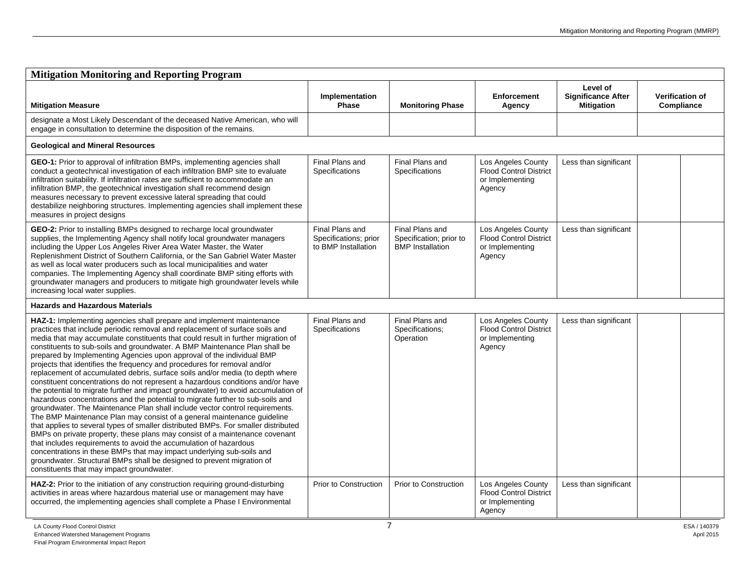| <b>Mitigation Monitoring and Reporting Program</b>                                                                                                                                                                                                                                                                                                                                                                                                                                                                                                                                                                                                                                                                                                                                                                                                                                                                                                                                                                                                                                                                                                                                                                                                                                                                                                                                                                         |                                                                 |                                                                       |                                                                                  |                                                            |                                      |  |  |
|----------------------------------------------------------------------------------------------------------------------------------------------------------------------------------------------------------------------------------------------------------------------------------------------------------------------------------------------------------------------------------------------------------------------------------------------------------------------------------------------------------------------------------------------------------------------------------------------------------------------------------------------------------------------------------------------------------------------------------------------------------------------------------------------------------------------------------------------------------------------------------------------------------------------------------------------------------------------------------------------------------------------------------------------------------------------------------------------------------------------------------------------------------------------------------------------------------------------------------------------------------------------------------------------------------------------------------------------------------------------------------------------------------------------------|-----------------------------------------------------------------|-----------------------------------------------------------------------|----------------------------------------------------------------------------------|------------------------------------------------------------|--------------------------------------|--|--|
| <b>Mitigation Measure</b>                                                                                                                                                                                                                                                                                                                                                                                                                                                                                                                                                                                                                                                                                                                                                                                                                                                                                                                                                                                                                                                                                                                                                                                                                                                                                                                                                                                                  | Implementation<br>Phase                                         | <b>Monitoring Phase</b>                                               | <b>Enforcement</b><br>Agency                                                     | Level of<br><b>Significance After</b><br><b>Mitigation</b> | <b>Verification of</b><br>Compliance |  |  |
| designate a Most Likely Descendant of the deceased Native American, who will<br>engage in consultation to determine the disposition of the remains.                                                                                                                                                                                                                                                                                                                                                                                                                                                                                                                                                                                                                                                                                                                                                                                                                                                                                                                                                                                                                                                                                                                                                                                                                                                                        |                                                                 |                                                                       |                                                                                  |                                                            |                                      |  |  |
| <b>Geological and Mineral Resources</b>                                                                                                                                                                                                                                                                                                                                                                                                                                                                                                                                                                                                                                                                                                                                                                                                                                                                                                                                                                                                                                                                                                                                                                                                                                                                                                                                                                                    |                                                                 |                                                                       |                                                                                  |                                                            |                                      |  |  |
| GEO-1: Prior to approval of infiltration BMPs, implementing agencies shall<br>conduct a geotechnical investigation of each infiltration BMP site to evaluate<br>infiltration suitability. If infiltration rates are sufficient to accommodate an<br>infiltration BMP, the geotechnical investigation shall recommend design<br>measures necessary to prevent excessive lateral spreading that could<br>destabilize neighboring structures. Implementing agencies shall implement these<br>measures in project designs                                                                                                                                                                                                                                                                                                                                                                                                                                                                                                                                                                                                                                                                                                                                                                                                                                                                                                      | Final Plans and<br>Specifications                               | Final Plans and<br><b>Specifications</b>                              | Los Angeles County<br><b>Flood Control District</b><br>or Implementing<br>Agency | Less than significant                                      |                                      |  |  |
| GEO-2: Prior to installing BMPs designed to recharge local groundwater<br>supplies, the Implementing Agency shall notify local groundwater managers<br>including the Upper Los Angeles River Area Water Master, the Water<br>Replenishment District of Southern California, or the San Gabriel Water Master<br>as well as local water producers such as local municipalities and water<br>companies. The Implementing Agency shall coordinate BMP siting efforts with<br>groundwater managers and producers to mitigate high groundwater levels while<br>increasing local water supplies.                                                                                                                                                                                                                                                                                                                                                                                                                                                                                                                                                                                                                                                                                                                                                                                                                                  | Final Plans and<br>Specifications; prior<br>to BMP Installation | Final Plans and<br>Specification; prior to<br><b>BMP</b> Installation | Los Angeles County<br><b>Flood Control District</b><br>or Implementing<br>Agency | Less than significant                                      |                                      |  |  |
| <b>Hazards and Hazardous Materials</b>                                                                                                                                                                                                                                                                                                                                                                                                                                                                                                                                                                                                                                                                                                                                                                                                                                                                                                                                                                                                                                                                                                                                                                                                                                                                                                                                                                                     |                                                                 |                                                                       |                                                                                  |                                                            |                                      |  |  |
| HAZ-1: Implementing agencies shall prepare and implement maintenance<br>practices that include periodic removal and replacement of surface soils and<br>media that may accumulate constituents that could result in further migration of<br>constituents to sub-soils and groundwater. A BMP Maintenance Plan shall be<br>prepared by Implementing Agencies upon approval of the individual BMP<br>projects that identifies the frequency and procedures for removal and/or<br>replacement of accumulated debris, surface soils and/or media (to depth where<br>constituent concentrations do not represent a hazardous conditions and/or have<br>the potential to migrate further and impact groundwater) to avoid accumulation of<br>hazardous concentrations and the potential to migrate further to sub-soils and<br>groundwater. The Maintenance Plan shall include vector control requirements.<br>The BMP Maintenance Plan may consist of a general maintenance guideline<br>that applies to several types of smaller distributed BMPs. For smaller distributed<br>BMPs on private property, these plans may consist of a maintenance covenant<br>that includes requirements to avoid the accumulation of hazardous<br>concentrations in these BMPs that may impact underlying sub-soils and<br>groundwater. Structural BMPs shall be designed to prevent migration of<br>constituents that may impact groundwater. | Final Plans and<br>Specifications                               | Final Plans and<br>Specifications:<br>Operation                       | Los Angeles County<br><b>Flood Control District</b><br>or Implementing<br>Agency | Less than significant                                      |                                      |  |  |
| HAZ-2: Prior to the initiation of any construction requiring ground-disturbing<br>activities in areas where hazardous material use or management may have<br>occurred, the implementing agencies shall complete a Phase I Environmental                                                                                                                                                                                                                                                                                                                                                                                                                                                                                                                                                                                                                                                                                                                                                                                                                                                                                                                                                                                                                                                                                                                                                                                    | <b>Prior to Construction</b>                                    | <b>Prior to Construction</b>                                          | Los Angeles County<br><b>Flood Control District</b><br>or Implementing<br>Agency | Less than significant                                      |                                      |  |  |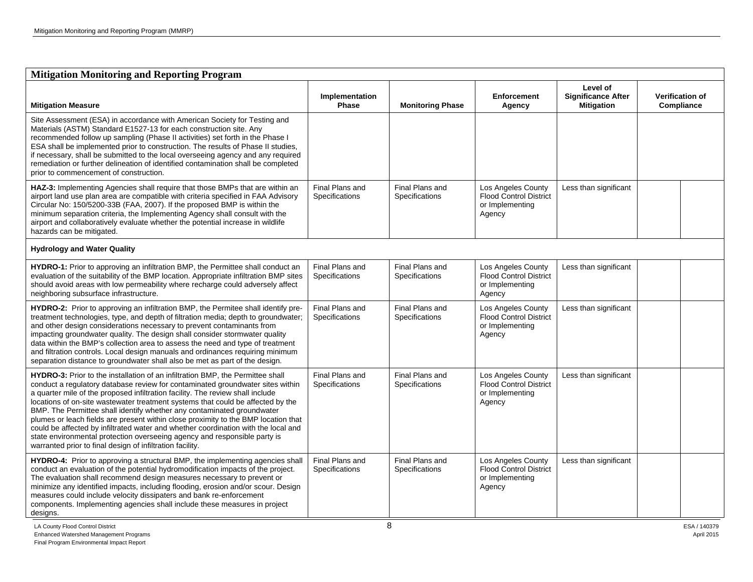| <b>Mitigation Monitoring and Reporting Program</b>                                                                                                                                                                                                                                                                                                                                                                                                                                                                                                                                                                                                                                                                                           |                                   |                                   |                                                                                  |                                                            |                                      |  |  |
|----------------------------------------------------------------------------------------------------------------------------------------------------------------------------------------------------------------------------------------------------------------------------------------------------------------------------------------------------------------------------------------------------------------------------------------------------------------------------------------------------------------------------------------------------------------------------------------------------------------------------------------------------------------------------------------------------------------------------------------------|-----------------------------------|-----------------------------------|----------------------------------------------------------------------------------|------------------------------------------------------------|--------------------------------------|--|--|
| <b>Mitigation Measure</b>                                                                                                                                                                                                                                                                                                                                                                                                                                                                                                                                                                                                                                                                                                                    | Implementation<br>Phase           | <b>Monitoring Phase</b>           | <b>Enforcement</b><br>Agency                                                     | Level of<br><b>Significance After</b><br><b>Mitigation</b> | <b>Verification of</b><br>Compliance |  |  |
| Site Assessment (ESA) in accordance with American Society for Testing and<br>Materials (ASTM) Standard E1527-13 for each construction site. Any<br>recommended follow up sampling (Phase II activities) set forth in the Phase I<br>ESA shall be implemented prior to construction. The results of Phase II studies,<br>if necessary, shall be submitted to the local overseeing agency and any required<br>remediation or further delineation of identified contamination shall be completed<br>prior to commencement of construction.                                                                                                                                                                                                      |                                   |                                   |                                                                                  |                                                            |                                      |  |  |
| HAZ-3: Implementing Agencies shall require that those BMPs that are within an<br>airport land use plan area are compatible with criteria specified in FAA Advisory<br>Circular No: 150/5200-33B (FAA, 2007). If the proposed BMP is within the<br>minimum separation criteria, the Implementing Agency shall consult with the<br>airport and collaboratively evaluate whether the potential increase in wildlife<br>hazards can be mitigated.                                                                                                                                                                                                                                                                                                | Final Plans and<br>Specifications | Final Plans and<br>Specifications | Los Angeles County<br><b>Flood Control District</b><br>or Implementing<br>Agency | Less than significant                                      |                                      |  |  |
| <b>Hydrology and Water Quality</b>                                                                                                                                                                                                                                                                                                                                                                                                                                                                                                                                                                                                                                                                                                           |                                   |                                   |                                                                                  |                                                            |                                      |  |  |
| HYDRO-1: Prior to approving an infiltration BMP, the Permittee shall conduct an<br>evaluation of the suitability of the BMP location. Appropriate infiltration BMP sites<br>should avoid areas with low permeability where recharge could adversely affect<br>neighboring subsurface infrastructure.                                                                                                                                                                                                                                                                                                                                                                                                                                         | Final Plans and<br>Specifications | Final Plans and<br>Specifications | Los Angeles County<br><b>Flood Control District</b><br>or Implementing<br>Agency | Less than significant                                      |                                      |  |  |
| HYDRO-2: Prior to approving an infiltration BMP, the Permitee shall identify pre-<br>treatment technologies, type, and depth of filtration media; depth to groundwater;<br>and other design considerations necessary to prevent contaminants from<br>impacting groundwater quality. The design shall consider stormwater quality<br>data within the BMP's collection area to assess the need and type of treatment<br>and filtration controls. Local design manuals and ordinances requiring minimum<br>separation distance to groundwater shall also be met as part of the design.                                                                                                                                                          | Final Plans and<br>Specifications | Final Plans and<br>Specifications | Los Angeles County<br><b>Flood Control District</b><br>or Implementing<br>Agency | Less than significant                                      |                                      |  |  |
| <b>HYDRO-3:</b> Prior to the installation of an infiltration BMP, the Permittee shall<br>conduct a regulatory database review for contaminated groundwater sites within<br>a quarter mile of the proposed infiltration facility. The review shall include<br>locations of on-site wastewater treatment systems that could be affected by the<br>BMP. The Permittee shall identify whether any contaminated groundwater<br>plumes or leach fields are present within close proximity to the BMP location that<br>could be affected by infiltrated water and whether coordination with the local and<br>state environmental protection overseeing agency and responsible party is<br>warranted prior to final design of infiltration facility. | Final Plans and<br>Specifications | Final Plans and<br>Specifications | Los Angeles County<br><b>Flood Control District</b><br>or Implementing<br>Agency | Less than significant                                      |                                      |  |  |
| HYDRO-4: Prior to approving a structural BMP, the implementing agencies shall<br>conduct an evaluation of the potential hydromodification impacts of the project.<br>The evaluation shall recommend design measures necessary to prevent or<br>minimize any identified impacts, including flooding, erosion and/or scour. Design<br>measures could include velocity dissipaters and bank re-enforcement<br>components. Implementing agencies shall include these measures in project<br>designs.                                                                                                                                                                                                                                             | Final Plans and<br>Specifications | Final Plans and<br>Specifications | Los Angeles County<br>Flood Control District<br>or Implementing<br>Agency        | Less than significant                                      |                                      |  |  |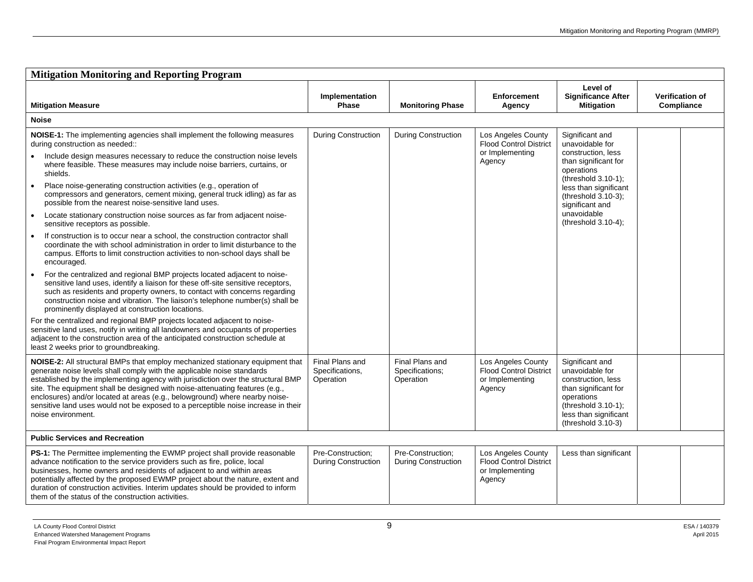| <b>Mitigation Monitoring and Reporting Program</b>                                                                                                                                                                                                                                                                                                                                                                                                                                                                    |                                                 |                                                 |                                                                                  |                                                                                                                                                                           |                                                                     |  |
|-----------------------------------------------------------------------------------------------------------------------------------------------------------------------------------------------------------------------------------------------------------------------------------------------------------------------------------------------------------------------------------------------------------------------------------------------------------------------------------------------------------------------|-------------------------------------------------|-------------------------------------------------|----------------------------------------------------------------------------------|---------------------------------------------------------------------------------------------------------------------------------------------------------------------------|---------------------------------------------------------------------|--|
| <b>Mitigation Measure</b>                                                                                                                                                                                                                                                                                                                                                                                                                                                                                             | Implementation<br><b>Phase</b>                  | <b>Monitoring Phase</b>                         | <b>Enforcement</b><br>Agency                                                     | Level of<br><b>Significance After</b><br><b>Mitigation</b>                                                                                                                | <b>Verification of</b><br>Compliance                                |  |
| <b>Noise</b>                                                                                                                                                                                                                                                                                                                                                                                                                                                                                                          |                                                 |                                                 |                                                                                  |                                                                                                                                                                           |                                                                     |  |
| <b>NOISE-1:</b> The implementing agencies shall implement the following measures<br>during construction as needed::                                                                                                                                                                                                                                                                                                                                                                                                   | <b>During Construction</b>                      | During Construction                             | Los Angeles County<br><b>Flood Control District</b>                              | Significant and<br>unavoidable for                                                                                                                                        |                                                                     |  |
| Include design measures necessary to reduce the construction noise levels<br>where feasible. These measures may include noise barriers, curtains, or<br>shields.                                                                                                                                                                                                                                                                                                                                                      |                                                 |                                                 | or Implementing<br>Agency                                                        | construction, less<br>than significant for<br>operations                                                                                                                  |                                                                     |  |
| Place noise-generating construction activities (e.g., operation of<br>compressors and generators, cement mixing, general truck idling) as far as<br>possible from the nearest noise-sensitive land uses.                                                                                                                                                                                                                                                                                                              |                                                 | significant and<br>unavoidable                  |                                                                                  |                                                                                                                                                                           | (threshold 3.10-1);<br>less than significant<br>(threshold 3.10-3); |  |
| Locate stationary construction noise sources as far from adjacent noise-<br>$\bullet$<br>sensitive receptors as possible.                                                                                                                                                                                                                                                                                                                                                                                             |                                                 |                                                 |                                                                                  | (threshold 3.10-4);                                                                                                                                                       |                                                                     |  |
| If construction is to occur near a school, the construction contractor shall<br>$\bullet$<br>coordinate the with school administration in order to limit disturbance to the<br>campus. Efforts to limit construction activities to non-school days shall be<br>encouraged.                                                                                                                                                                                                                                            |                                                 |                                                 |                                                                                  |                                                                                                                                                                           |                                                                     |  |
| For the centralized and regional BMP projects located adjacent to noise-<br>$\bullet$<br>sensitive land uses, identify a liaison for these off-site sensitive receptors,<br>such as residents and property owners, to contact with concerns regarding<br>construction noise and vibration. The liaison's telephone number(s) shall be<br>prominently displayed at construction locations.                                                                                                                             |                                                 |                                                 |                                                                                  |                                                                                                                                                                           |                                                                     |  |
| For the centralized and regional BMP projects located adjacent to noise-<br>sensitive land uses, notify in writing all landowners and occupants of properties<br>adjacent to the construction area of the anticipated construction schedule at<br>least 2 weeks prior to groundbreaking.                                                                                                                                                                                                                              |                                                 |                                                 |                                                                                  |                                                                                                                                                                           |                                                                     |  |
| NOISE-2: All structural BMPs that employ mechanized stationary equipment that<br>generate noise levels shall comply with the applicable noise standards<br>established by the implementing agency with jurisdiction over the structural BMP<br>site. The equipment shall be designed with noise-attenuating features (e.g.,<br>enclosures) and/or located at areas (e.g., belowground) where nearby noise-<br>sensitive land uses would not be exposed to a perceptible noise increase in their<br>noise environment. | Final Plans and<br>Specifications,<br>Operation | Final Plans and<br>Specifications;<br>Operation | Los Angeles County<br><b>Flood Control District</b><br>or Implementing<br>Agency | Significant and<br>unavoidable for<br>construction, less<br>than significant for<br>operations<br>$(threshold 3.10-1);$<br>less than significant<br>(threshold $3.10-3$ ) |                                                                     |  |
| <b>Public Services and Recreation</b>                                                                                                                                                                                                                                                                                                                                                                                                                                                                                 |                                                 |                                                 |                                                                                  |                                                                                                                                                                           |                                                                     |  |
| <b>PS-1:</b> The Permittee implementing the EWMP project shall provide reasonable<br>advance notification to the service providers such as fire, police, local<br>businesses, home owners and residents of adjacent to and within areas<br>potentially affected by the proposed EWMP project about the nature, extent and<br>duration of construction activities. Interim updates should be provided to inform<br>them of the status of the construction activities.                                                  | Pre-Construction:<br><b>During Construction</b> | Pre-Construction:<br>During Construction        | Los Angeles County<br><b>Flood Control District</b><br>or Implementing<br>Agency | Less than significant                                                                                                                                                     |                                                                     |  |